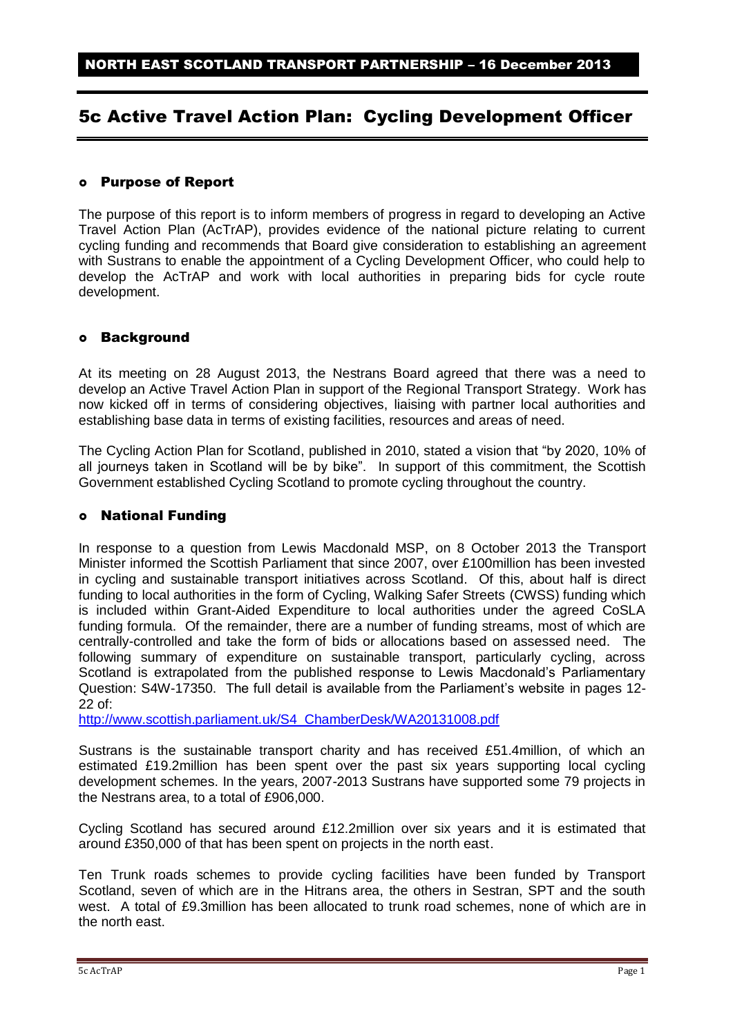# 5c Active Travel Action Plan: Cycling Development Officer

#### Purpose of Report

The purpose of this report is to inform members of progress in regard to developing an Active Travel Action Plan (AcTrAP), provides evidence of the national picture relating to current cycling funding and recommends that Board give consideration to establishing an agreement with Sustrans to enable the appointment of a Cycling Development Officer, who could help to develop the AcTrAP and work with local authorities in preparing bids for cycle route development.

#### Background

At its meeting on 28 August 2013, the Nestrans Board agreed that there was a need to develop an Active Travel Action Plan in support of the Regional Transport Strategy. Work has now kicked off in terms of considering objectives, liaising with partner local authorities and establishing base data in terms of existing facilities, resources and areas of need.

The Cycling Action Plan for Scotland, published in 2010, stated a vision that "by 2020, 10% of all journeys taken in Scotland will be by bike". In support of this commitment, the Scottish Government established Cycling Scotland to promote cycling throughout the country.

#### National Funding

In response to a question from Lewis Macdonald MSP, on 8 October 2013 the Transport Minister informed the Scottish Parliament that since 2007, over £100million has been invested in cycling and sustainable transport initiatives across Scotland. Of this, about half is direct funding to local authorities in the form of Cycling, Walking Safer Streets (CWSS) funding which is included within Grant-Aided Expenditure to local authorities under the agreed CoSLA funding formula. Of the remainder, there are a number of funding streams, most of which are centrally-controlled and take the form of bids or allocations based on assessed need. The following summary of expenditure on sustainable transport, particularly cycling, across Scotland is extrapolated from the published response to Lewis Macdonald's Parliamentary Question: S4W-17350. The full detail is available from the Parliament's website in pages 12- 22 of:

[http://www.scottish.parliament.uk/S4\\_ChamberDesk/WA20131008.pdf](http://www.scottish.parliament.uk/S4_ChamberDesk/WA20131008.pdf)

Sustrans is the sustainable transport charity and has received £51.4million, of which an estimated £19.2million has been spent over the past six years supporting local cycling development schemes. In the years, 2007-2013 Sustrans have supported some 79 projects in the Nestrans area, to a total of £906,000.

Cycling Scotland has secured around £12.2million over six years and it is estimated that around £350,000 of that has been spent on projects in the north east.

Ten Trunk roads schemes to provide cycling facilities have been funded by Transport Scotland, seven of which are in the Hitrans area, the others in Sestran, SPT and the south west. A total of £9.3million has been allocated to trunk road schemes, none of which are in the north east.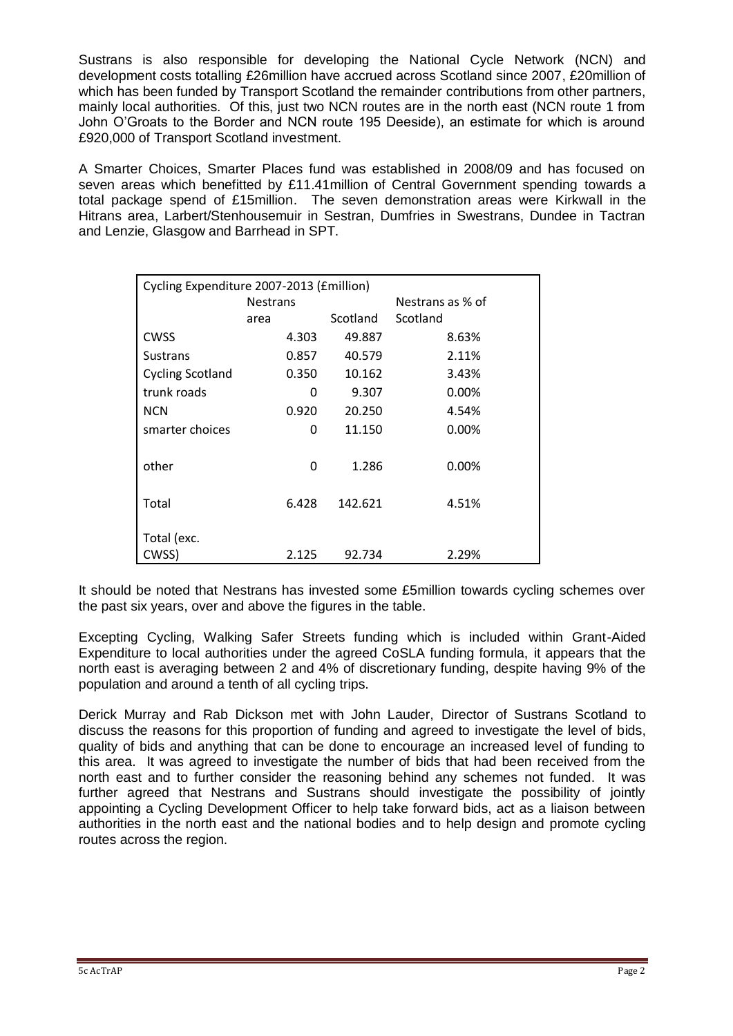Sustrans is also responsible for developing the National Cycle Network (NCN) and development costs totalling £26million have accrued across Scotland since 2007, £20million of which has been funded by Transport Scotland the remainder contributions from other partners, mainly local authorities. Of this, just two NCN routes are in the north east (NCN route 1 from John O'Groats to the Border and NCN route 195 Deeside), an estimate for which is around £920,000 of Transport Scotland investment.

A Smarter Choices, Smarter Places fund was established in 2008/09 and has focused on seven areas which benefitted by £11.41million of Central Government spending towards a total package spend of £15million. The seven demonstration areas were Kirkwall in the Hitrans area, Larbert/Stenhousemuir in Sestran, Dumfries in Swestrans, Dundee in Tactran and Lenzie, Glasgow and Barrhead in SPT.

| Cycling Expenditure 2007-2013 (£million) |                 |          |                  |
|------------------------------------------|-----------------|----------|------------------|
|                                          | <b>Nestrans</b> |          | Nestrans as % of |
|                                          | area            | Scotland | Scotland         |
| <b>CWSS</b>                              | 4.303           | 49.887   | 8.63%            |
| <b>Sustrans</b>                          | 0.857           | 40.579   | 2.11%            |
| <b>Cycling Scotland</b>                  | 0.350           | 10.162   | 3.43%            |
| trunk roads                              | O               | 9.307    | 0.00%            |
| <b>NCN</b>                               | 0.920           | 20.250   | 4.54%            |
| smarter choices                          | 0               | 11.150   | 0.00%            |
|                                          |                 |          |                  |
| other                                    | 0               | 1.286    | 0.00%            |
|                                          |                 |          |                  |
| Total                                    | 6.428           | 142.621  | 4.51%            |
|                                          |                 |          |                  |
| Total (exc.                              |                 |          |                  |
| CWSS)                                    | 2.125           | 92.734   | 2.29%            |

It should be noted that Nestrans has invested some £5million towards cycling schemes over the past six years, over and above the figures in the table.

Excepting Cycling, Walking Safer Streets funding which is included within Grant-Aided Expenditure to local authorities under the agreed CoSLA funding formula, it appears that the north east is averaging between 2 and 4% of discretionary funding, despite having 9% of the population and around a tenth of all cycling trips.

Derick Murray and Rab Dickson met with John Lauder, Director of Sustrans Scotland to discuss the reasons for this proportion of funding and agreed to investigate the level of bids, quality of bids and anything that can be done to encourage an increased level of funding to this area. It was agreed to investigate the number of bids that had been received from the north east and to further consider the reasoning behind any schemes not funded. It was further agreed that Nestrans and Sustrans should investigate the possibility of jointly appointing a Cycling Development Officer to help take forward bids, act as a liaison between authorities in the north east and the national bodies and to help design and promote cycling routes across the region.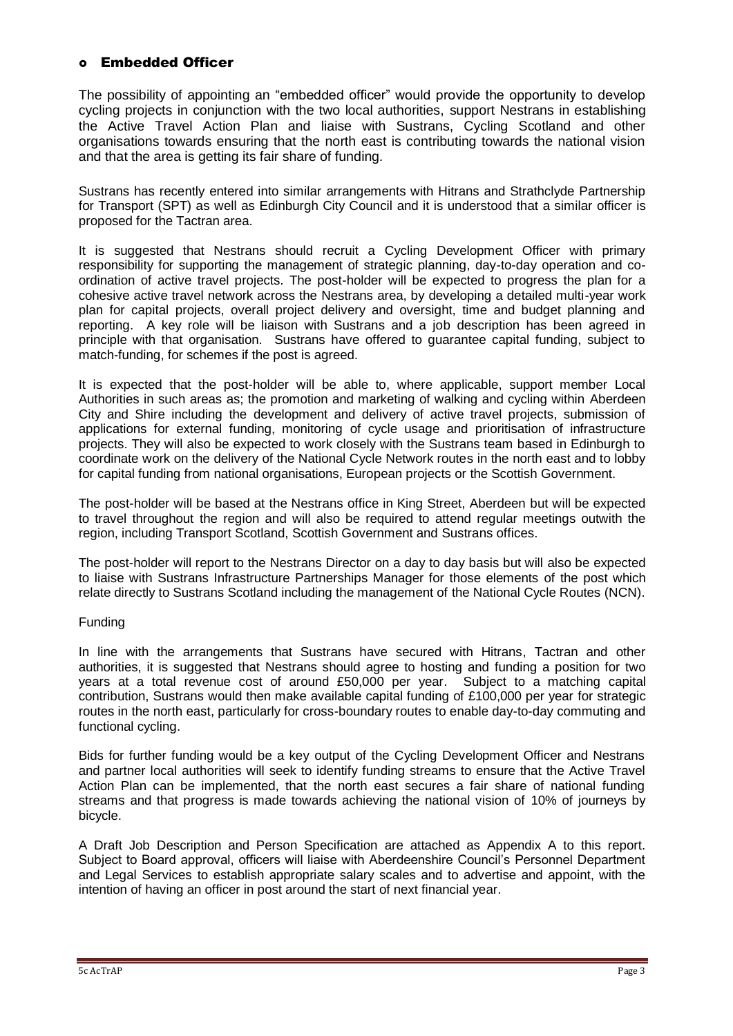## Embedded Officer

The possibility of appointing an "embedded officer" would provide the opportunity to develop cycling projects in conjunction with the two local authorities, support Nestrans in establishing the Active Travel Action Plan and liaise with Sustrans, Cycling Scotland and other organisations towards ensuring that the north east is contributing towards the national vision and that the area is getting its fair share of funding.

Sustrans has recently entered into similar arrangements with Hitrans and Strathclyde Partnership for Transport (SPT) as well as Edinburgh City Council and it is understood that a similar officer is proposed for the Tactran area.

It is suggested that Nestrans should recruit a Cycling Development Officer with primary responsibility for supporting the management of strategic planning, day-to-day operation and coordination of active travel projects. The post-holder will be expected to progress the plan for a cohesive active travel network across the Nestrans area, by developing a detailed multi-year work plan for capital projects, overall project delivery and oversight, time and budget planning and reporting. A key role will be liaison with Sustrans and a job description has been agreed in principle with that organisation. Sustrans have offered to guarantee capital funding, subject to match-funding, for schemes if the post is agreed.

It is expected that the post-holder will be able to, where applicable, support member Local Authorities in such areas as; the promotion and marketing of walking and cycling within Aberdeen City and Shire including the development and delivery of active travel projects, submission of applications for external funding, monitoring of cycle usage and prioritisation of infrastructure projects. They will also be expected to work closely with the Sustrans team based in Edinburgh to coordinate work on the delivery of the National Cycle Network routes in the north east and to lobby for capital funding from national organisations, European projects or the Scottish Government.

The post-holder will be based at the Nestrans office in King Street, Aberdeen but will be expected to travel throughout the region and will also be required to attend regular meetings outwith the region, including Transport Scotland, Scottish Government and Sustrans offices.

The post-holder will report to the Nestrans Director on a day to day basis but will also be expected to liaise with Sustrans Infrastructure Partnerships Manager for those elements of the post which relate directly to Sustrans Scotland including the management of the National Cycle Routes (NCN).

### Funding

In line with the arrangements that Sustrans have secured with Hitrans, Tactran and other authorities, it is suggested that Nestrans should agree to hosting and funding a position for two years at a total revenue cost of around £50,000 per year. Subject to a matching capital contribution, Sustrans would then make available capital funding of £100,000 per year for strategic routes in the north east, particularly for cross-boundary routes to enable day-to-day commuting and functional cycling.

Bids for further funding would be a key output of the Cycling Development Officer and Nestrans and partner local authorities will seek to identify funding streams to ensure that the Active Travel Action Plan can be implemented, that the north east secures a fair share of national funding streams and that progress is made towards achieving the national vision of 10% of journeys by bicycle.

A Draft Job Description and Person Specification are attached as Appendix A to this report. Subject to Board approval, officers will liaise with Aberdeenshire Council's Personnel Department and Legal Services to establish appropriate salary scales and to advertise and appoint, with the intention of having an officer in post around the start of next financial year.